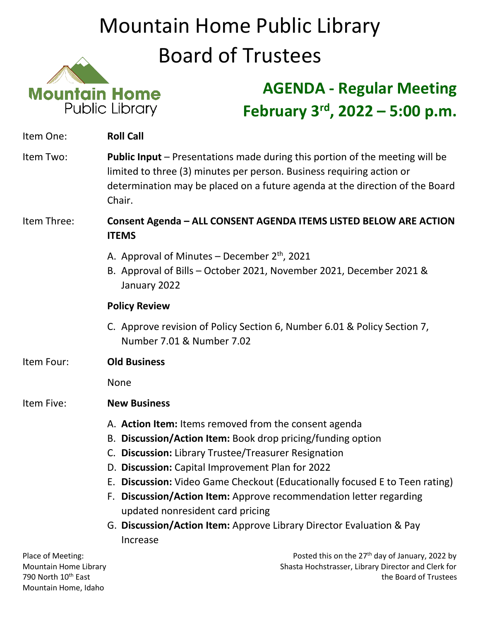## Mountain Home Public Library Board of Trustees



## **AGENDA - Regular Meeting February 3rd, 2022 – 5:00 p.m.**

| Item One:                                  | <b>Roll Call</b>                                                                                                                                                                                                                                                                                                                                                                                                                                                                                              |
|--------------------------------------------|---------------------------------------------------------------------------------------------------------------------------------------------------------------------------------------------------------------------------------------------------------------------------------------------------------------------------------------------------------------------------------------------------------------------------------------------------------------------------------------------------------------|
| Item Two:                                  | <b>Public Input</b> – Presentations made during this portion of the meeting will be<br>limited to three (3) minutes per person. Business requiring action or<br>determination may be placed on a future agenda at the direction of the Board<br>Chair.                                                                                                                                                                                                                                                        |
| Item Three:                                | Consent Agenda - ALL CONSENT AGENDA ITEMS LISTED BELOW ARE ACTION<br><b>ITEMS</b>                                                                                                                                                                                                                                                                                                                                                                                                                             |
|                                            | A. Approval of Minutes – December $2^{th}$ , 2021<br>B. Approval of Bills - October 2021, November 2021, December 2021 &<br>January 2022                                                                                                                                                                                                                                                                                                                                                                      |
|                                            | <b>Policy Review</b>                                                                                                                                                                                                                                                                                                                                                                                                                                                                                          |
|                                            | C. Approve revision of Policy Section 6, Number 6.01 & Policy Section 7,<br>Number 7.01 & Number 7.02                                                                                                                                                                                                                                                                                                                                                                                                         |
| Item Four:                                 | <b>Old Business</b>                                                                                                                                                                                                                                                                                                                                                                                                                                                                                           |
|                                            | <b>None</b>                                                                                                                                                                                                                                                                                                                                                                                                                                                                                                   |
| Item Five:                                 | <b>New Business</b>                                                                                                                                                                                                                                                                                                                                                                                                                                                                                           |
|                                            | A. Action Item: Items removed from the consent agenda<br>B. Discussion/Action Item: Book drop pricing/funding option<br>C. Discussion: Library Trustee/Treasurer Resignation<br>D. Discussion: Capital Improvement Plan for 2022<br>E. Discussion: Video Game Checkout (Educationally focused E to Teen rating)<br>F. Discussion/Action Item: Approve recommendation letter regarding<br>updated nonresident card pricing<br>G. Discussion/Action Item: Approve Library Director Evaluation & Pay<br>Increase |
| Place of Meeting:<br>Mountain Home Library | Posted this on the 27 <sup>th</sup> day of January, 2022 by<br>Shasta Hochstrasser, Library Director and Clerk for                                                                                                                                                                                                                                                                                                                                                                                            |

790 North 10th East the Board of Trustees